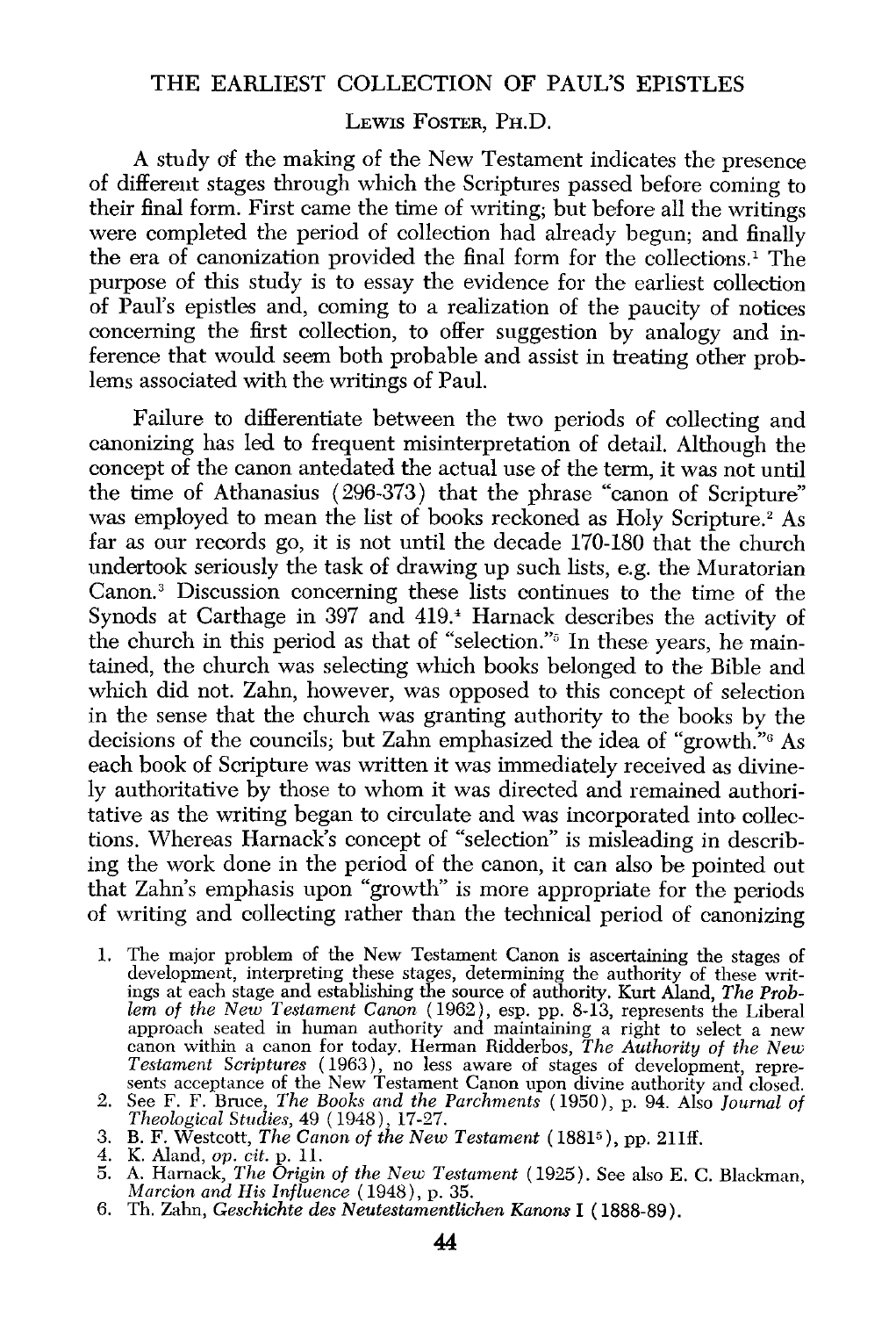## THE EARLIEST COLLECTION OF PAUL'S EPISTLES

## LEWIS FOSTER, PH.D.

A study af the making of the New Testament indicates the presence of different stages through which the Scriptures passed before coming to their final form. First came the time of writing; but before all the writings were completed the period of collection had already begun; and finally the era of canonization provided the final form for the collections.1 The purpose of this study is to essay the evidence for the earliest collection of Paul's epistles and, coming to a realization of the paucity of notices concerning the first collection, to offer suggestion by analogy and inference that would seem both probable and assist in treating other problems associated with the writings of Paul.

Failure to differentiate between the two periods of collecting and canonizing has led to frequent misinterpretation of detail. Although the concept of the canon antedated the actual use of the term, it was not until the time of Athanasius ( 296-373) that the phrase "canon of Scripture" was employed to mean the list of books reckoned as Holy Scripture.<sup>2</sup> As far as our records go, it is not until the decade 170-180 that the church undertook seriously the task of drawing up such lists, e.g. the Muratorian Canon.<sup>3</sup> Discussion concerning these lists continues to the time of the Synods at Carthage in 397 and 419.' Harnack describes the activity of the church in this period as that of "selection."" In these years, he maintained, the church was selecting which books belonged to the Bible and which did not. Zahn, however, was opposed to this concept of selection in the sense that the church was granting authority to the books by the decisions of the councils; but Zahn emphasized the idea of "growth."6 As each book of Scripture was written it was immediately received as divinely authoritative by those to whom it was directed and remained authoritative as the writing began to circulate and was incorporated into collections. Whereas Hamack's concept of "selection" is misleading in describing the work done in the period of the canon, it can also be pointed out that Zahn's emphasis upon "growth" is more appropriate for the periods of writing and collecting rather than the technical period of canonizing

- 1. The major problem of the New Testament Canon is ascertaining the stages of development, interpreting these stages, determining the authority of these writings at each stage and establishing the source of authority. Kurt Aland, *The Problem of the New Testament Canon* ( 1962), esp. pp. 8-13, represents the Liberal approach seated in human authority and maintaining a right to select a new canon within a canon for today. Herman Ridderbos, *The Authority of the New Testament Scriptures* ( 1963), no less aware of stages of development, represents acceptance of the New Testament Canon upon divine authority and closed.
- 2. See F. F. Bruce, *The Books and the Parchments* ( 1950), p. 94. Also *Journal of Theological Studies,* 49 ( 1948), 17-27. 3. B. F. Westcott, *The Canon of the New Testament* ( 18815 ), pp. 21lff.
- 
- 
- 4. K. Aland, *op. cit.* p. 11. 5. A. Harnack, *The Origin of the New Testament* (1925). See also E. C. Blackman, *Marcion and His Influence* ( 1948), p. 35.
- 6. Th. Zahn, *Geschichte des Neutestamentlichen Kanons* I ( 1888-89).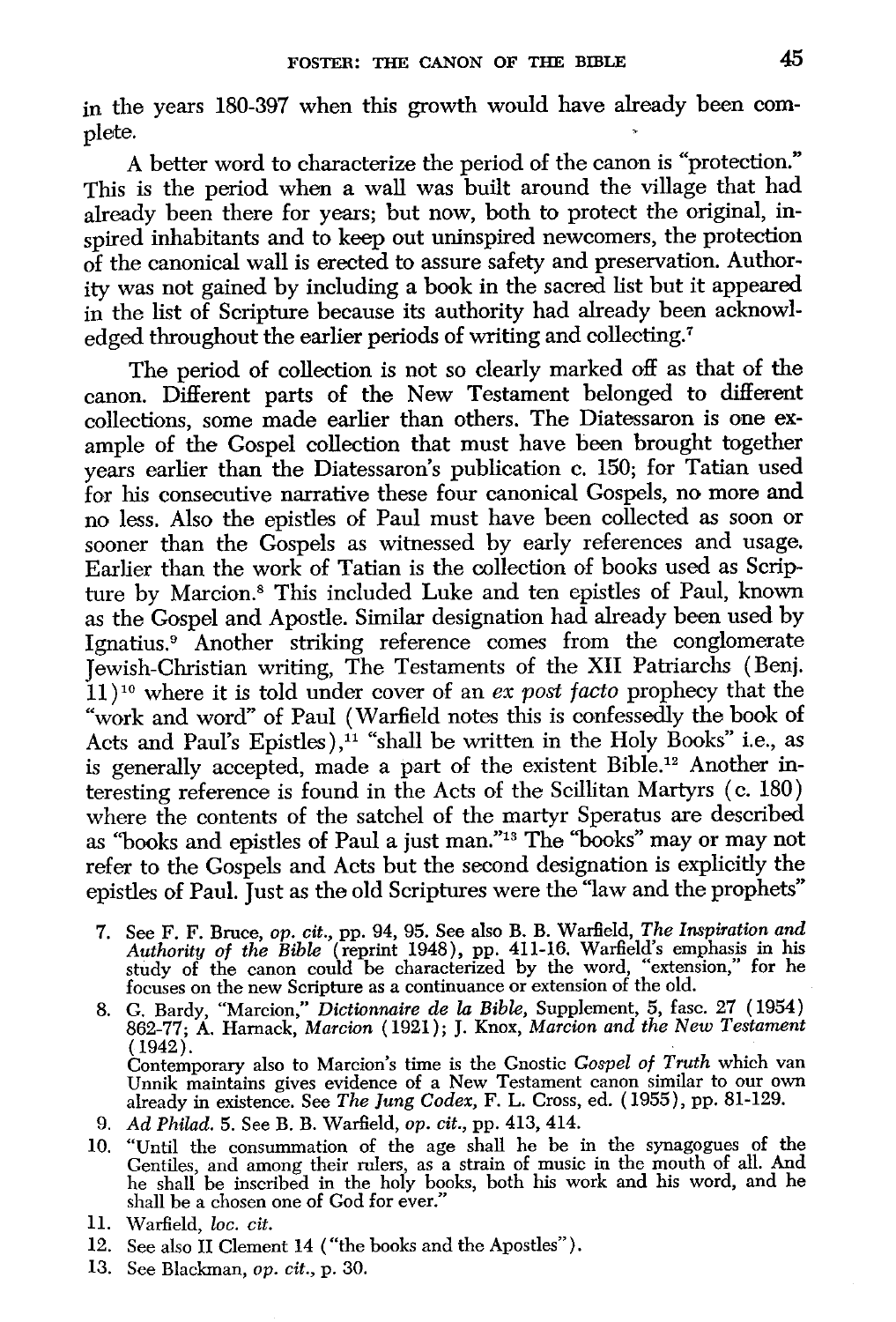in the years 180-397 when this growth would have already been complete.

A better word to characterize the period of the canon is "protection." This is the period when a wall was built around the village that had already been there for years; but now, both to protect the original, inspired inhabitants and to keep out uninspired newcomers, the protection of the canonical wall is erected to assure safety and preservation. Authority was not gained by including a book in the sacred list but it appeared in the list of Scripture because its authority had already been acknowledged throughout the earlier periods of writing and collecting.<sup>7</sup>

The period of collection is not so clearly marked off as that of the canon. Different parts of the New Testament belonged to different collections, some made earlier than others. The Diatessaron is one example of the Gospel collection that must have been brought together years earlier than the Diatessaron's publication c. 150; for Tatian used for his consecutive narrative these four canonical Gospels, no more and no less. Also the epistles of Paul must have been collected as soon or sooner than the Gospels as witnessed by early references and usage. Earlier than the work of Tatian is the collection of books used as Scripture by Marcion.<sup>8</sup> This included Luke and ten epistles of Paul, known as the Gospel and Apostle. Similar designation had already been used by Ignatius.<sup>9</sup> Another striking reference comes from the conglomerate Jewish-Christian writing, The Testaments of the XII Patriarchs (Benj. 11 ) 10 where it is told under cover of an *ex post facto* prophecy that the "work and word" of Paul (Warfield notes this is confessedly the book of Acts and Paul's Epistles),<sup>11</sup> "shall be written in the Holy Books" i.e., as is generally accepted, made a part of the existent Bible.12 Another interesting reference is found in the Acts of the Scillitan Martyrs ( c. 180) where the contents of the satchel of the martyr Speratus are described as "books and epistles of Paul a just man."13 The "books" may or may not refer to the Gospels and Acts but the second designation is explicitly the epistles of Paul. Just as the old Scriptures were the "law and the prophets"

- 7. See F. F. Bruce, *op. cit.,* pp. 94, 95. See also B. B. Warfield, *The Inspiration and Authority of the Bible* (reprint 1948), pp. 411-16. Warfield's emphasis in his study of the canon could be characterized by the word, "extension," for he focuses on the new Scripture as a continuance or extension of the old.
- 8. G. Bardy, "Marcion," *Dictionnaire de* la *Bible,* Supplement, 5, fasc. 27 ( 1954) 862-77; A. Harnack, *Marcion* (1921); J. Knox, *Marcion and the New Testament*  (1942).<br>Contemporary also to Marcion's time is the Gnostic Gospel of Truth which van Unnik maintains gives evidence of a New Testament canon similar to our own already in existence. See The Jung Codex, F. L. Cross, ed. (1955), pp. 81-129.
- 9. *Ad Philad.* 5. See B. B. Warfield, *op. cit.,* pp. 413, 414.
- 10. "Until the consummation of the age shall he be in the synagogues of the Gentiles, and among their rulers, as a strain of music in the mouth of all. And he shall be inscribed in the holy books, both his work and his word, and he shall be a chosen one of God for ever."
- 11. Warfield, *loc. cit.*
- 12. See also II Clement 14 ("the books and the Apostles").
- 13. See Blackman, *op. cit.,* p. 30.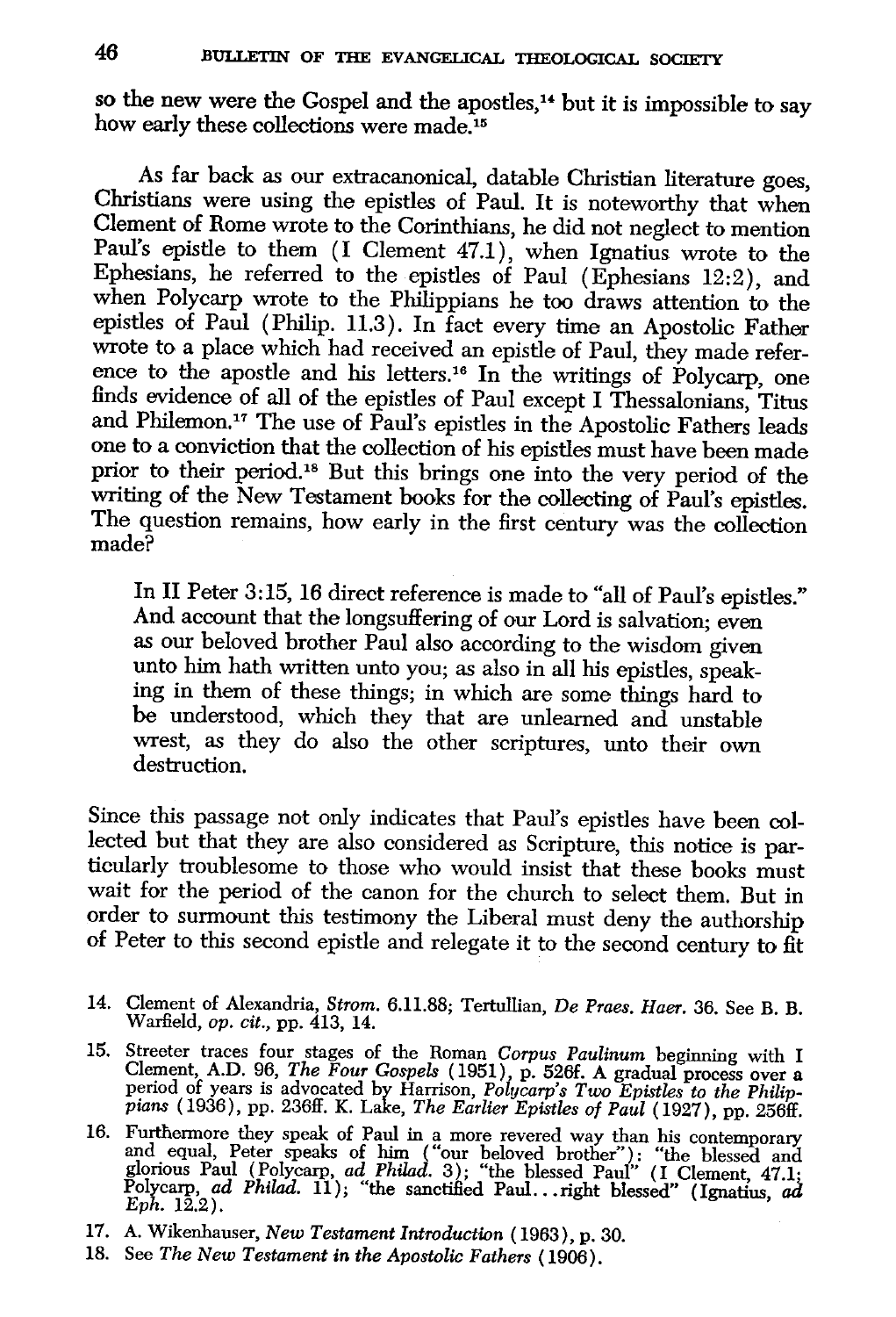so the new were the Gospel and the apostles,<sup>14</sup> but it is impossible to say how early these collections were made.<sup>15</sup>

As far back as our extracanonical, datable Christian literature goes, Christians were using the epistles of Paul. It is noteworthy that when Clement of Rome wrote to the Corinthians, he did not neglect to mention Paul's epistle to them (I Clement 47.1), when Ignatius wrote to the Ephesians, he referred to the epistles of Paul (Ephesians 12:2), and when Polycarp wrote to the Philippians he too draws attention to the epistles of Paul (Philip. 11.3). In fact every time an Apostolic Father wrote to a place which had received an epistle of Paul, they made reference to the apostle and his letters.<sup>16</sup> In the writings of Polycarp, one finds evidence of all of the epistles of Paul except I Thessalonians, Titus and Philemon.17 The use of Paul's epistles in the Apostolic Fathers leads one to a conviction that the collection of his epistles must have been made prior to their period.18 But this brings one into the very period of the writing of the New Testament books for the collecting of Paul's epistles. The question remains, how early in the first century was the collection made?

In II Peter 3: 15, 16 direct reference is made to "all of Paul's epistles." And account that the longsuffering of our Lord is salvation; even as our beloved brother Paul also according to the wisdom given unto him hath written unto you; as also in all his epistles, speaking in them of these things; in which are some things hard to be understood, which they that are unlearned and unstable wrest, as they do also the other scriptures, unto their own destruction.

Since this passage not only indicates that Paul's epistles have been collected but that they are also considered as Scripture, this notice is particularly troublesome to those who would insist that these books must wait for the period of the canon for the church to select them. But in order to surmount this testimony the Liberal must deny the authorship of Peter to this second epistle and relegate it to the second century to fit

- 14. Clement of Alexandria, *Strom.* 6.11.88; Tertullian, *De Praes. Haer.* 36. See B. B. Warfield, *op. cit.,* pp. 413, 14.
- 15. Streeter traces four stages of the Roman *Corpus Paulinum* beginning with I Clement, A.D. 96, *The Four Gospels* (1951), p. 526f. A gradual process over a period of years is advocated by Harrison, *Polycarp's Two Epistles to the Philippians* ( 1936), pp. 236ff. K. Lake, *The Earlier Epistles of Paul* ( 1927), pp. 256ff.
- 16. Furthermore they speak of Paul in a more revered way than his contemporary<br>and equal, Peter speaks of him ("our beloved brother"): "the blessed and<br>glorious Paul (Polycarp, *ad Philad.* 3); "the blessed Paul" (I Cleme
- 17. A. Wikenhauser, *New Testament Introduction* (1963), p. 30.
- 18. See *The New Testament in the Apostolic Fathers* ( 1906).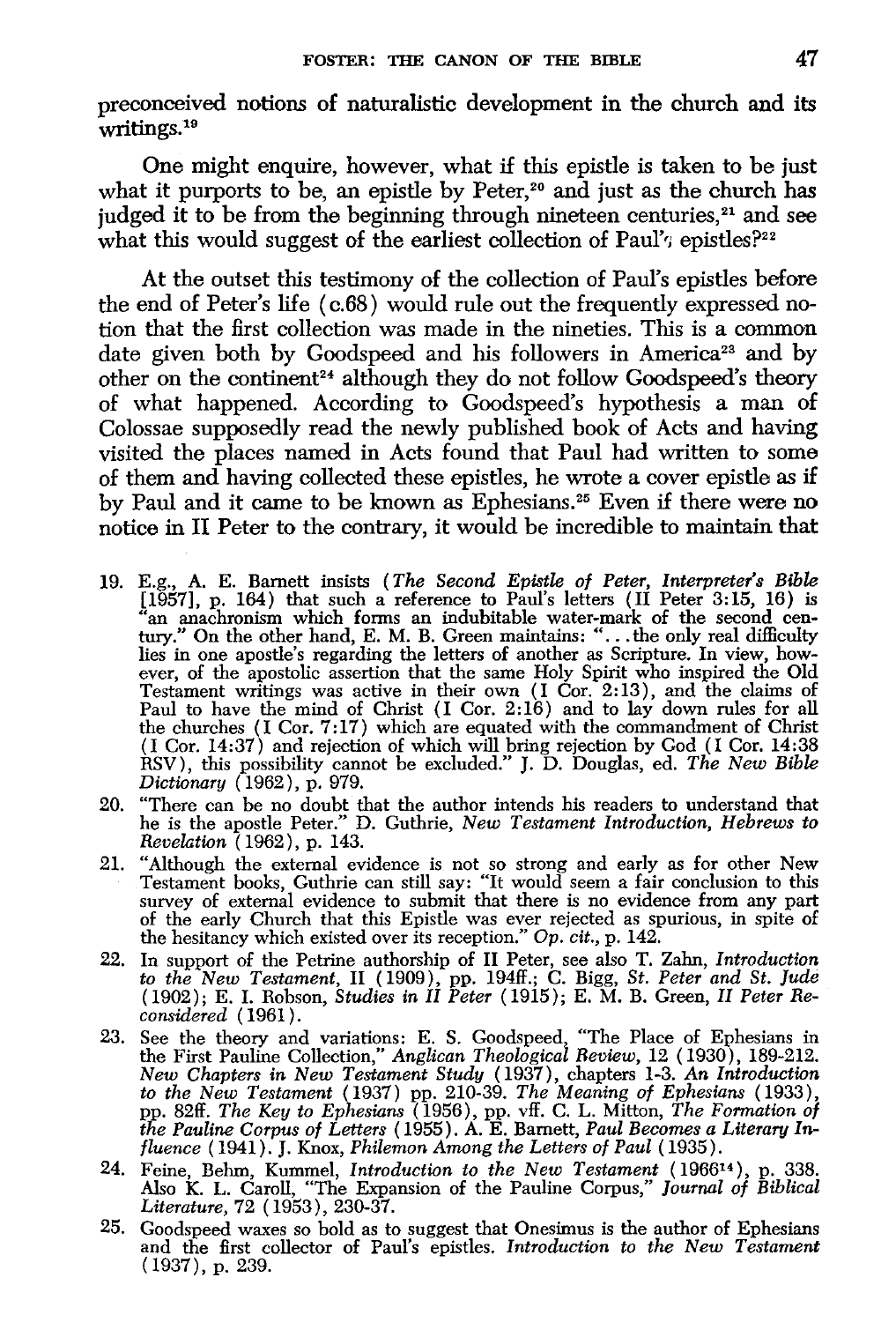preconceived notions of naturalistic development in the church and its writings.<sup>19</sup>

One might enquire, however, what if this epistle is taken to be just what it purports to be, an epistle by Peter,<sup>20</sup> and just as the church has judged it to be from the beginning through nineteen centuries,<sup>21</sup> and see what this would suggest of the earliest collection of Paul'<sub>7</sub> epistles?<sup>22</sup>

At the outset this testimony of the collection of Paul's epistles before the end of Peter's life ( c.68) would rule out the frequently expressed notion that the first collection was made in the nineties. This is a common date given both by Goodspeed and his followers in America<sup>23</sup> and by other on the continent<sup>24</sup> although they do not follow Goodspeed's theory of what happened. According to Goodspeed's hypothesis a man of Colossae supposedly read the newly published book of Acts and having visited the places named in Acts found that Paul had written to some of them and having collected these epistles, he wrote a cover epistle as if by Paul and it came to be known as Ephesians.<sup>25</sup> Even if there were no notice in II Peter to the contrary, it would be incredible to maintain that

- 19. E.g., A. E. Barnett insists *(The Second Epistle of Peter, Interpreter's Bible*  [1957], p. 164) that such a reference to Paul's letters (II Peter 3:15, 16) is "an anachronism which forms an indubitable water-mark of the second cen-<br>tury." On the other hand, E. M. B. Green maintains: "... the only real difficulty lies in one apostle's regarding the letters of another as Scripture. In view, however, of the apostolic assertion that the same Holy Spirit who inspired the Old Testament writings was active in their own (I Cor. 2:13), and the claims of Paul to have the mind of Christ (I Cor. 2: 16) and to lay down rules for all the churches (I Cor. 7: 17) which are equated with the commandment of Christ (I Cor. 14:37) and rejection of which will bring rejection by God (I Cor. 14:38 RSV), this possibility cannot be excluded." J. D. Douglas, ed. *The New Bible Dictionary* (1962), p. 979.
- 20. "There can be no doubt that the author intends his readers to understand that he is the apostle Peter." D. Guthrie, *New Testament Introduction, Hebrews to Revelation* (1962), p. 143.
- 21. "Although the external evidence is not so strong and early as for other New Testament books, Guthrie can still say: "It would seem a fair conclusion to this survey of external evidence to submit that there is no evidence from any part of the early Church tliat this Epistle was ever rejected as spurious, in spite of the hesitancy which existed over its reception." Op. *cit.,* p. 142.
- 22. In support of the Petrine authorship of II Peter, see also T. Zahn, *Introduction to the New Testament,* II ( 1909 ), pp. 194ff.; C. Bigg, *St. Peter and St. Jude*  ( 1902); E. I. Robson, *Studies in II Peter* ( 1915); E. M. B. Green, *II Peter Reconsidered* ( 1961).
- 23. See the theory and variations: E. S. Goodspeed, "The Place of Ephesians in the First Pauline Collection," *Anglican Theological Review,* 12 ( 1930 ), 189-212. *New Chapters in New Testament Study* (1937), chapters 1-3. *An Introduction to the New Testament* (1937) pp. 210-39. *The Meaning of Ephesians* ( 1933), pp. 82ff. *The Key to Ephesians* (1956), pp. vff. C. L. Mitton, *The Formation of the Pauline Corpus of Letters* ( 1955). A. E. Barnett, *Paul Becomes a Literary Influence* ( 1941). J. Knox, *Philemon Among the Letters of Paul* ( 1935).
- 24. Feine, Behm, Kummel, *Introduction to the New Testament* (196614 ), p. 338. Also K. L. Caroll, "The Expansion of the Pauline Corpus," *Journal of Biblical Literature,* 72 (1953), 230-37.
- 25. Goodspeed waxes so bold as to suggest that Onesimus is the author of Ephesians and the first collector of Paul's epistles. *Introduction to the New Testament*  ( 1937), p. 239.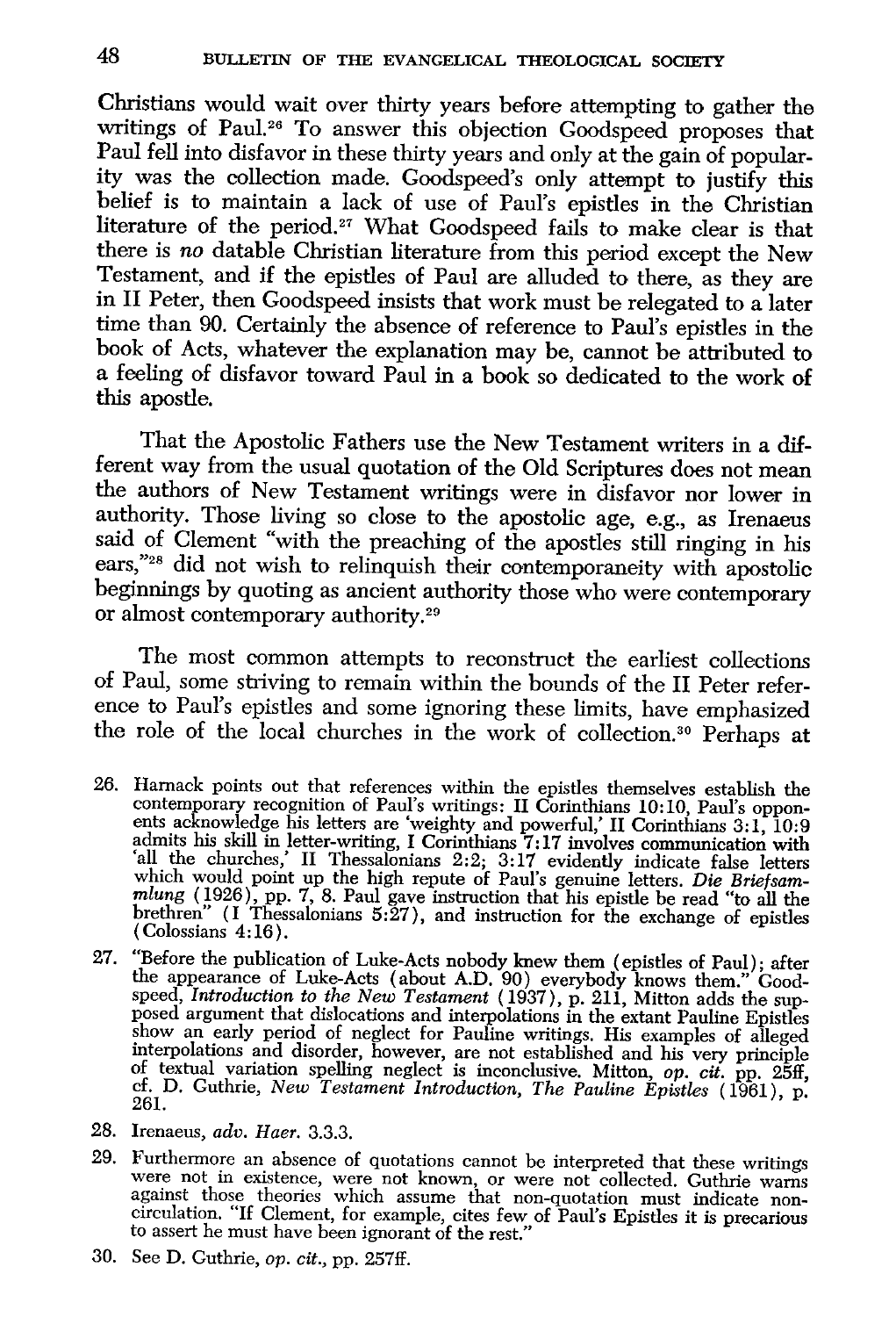Christians would wait over thirty years before attempting to gather the writings of Paul.<sup>26</sup> To answer this objection Goodspeed proposes that Paul fell into disfavor in these thirty years and only at the gain of popularity was the collection made. Goodspeed's only attempt to justify this belief is to maintain a lack of use of Paul's epistles in the Christian literature of the period.<sup>27</sup> What Goodspeed fails to make clear is that there is *no* datable Christian literature from this period except the New Testament, and if the epistles of Paul are alluded to there, as they are in II Peter, then Goodspeed insists that work must be relegated to a later time than 90. Certainly the absence of reference to Paul's epistles in the book of Acts, whatever the explanation may be, cannot be attributed to a feeling of disfavor toward Paul in a book so dedicated to the work of this apostle.

That the Apostolic Fathers use the New Testament writers in a different way from the usual quotation of the Old Scriptures does not mean the authors of New Testament writings were in disfavor nor lower in authority. Those living so close to the apostolic age, e.g., as Irenaeus said of Clement "with the preaching of the apostles still ringing in his ears,"<sup>28</sup> did not wish to relinquish their contemporaneity with apostolic beginnings by quoting as ancient authority those who were contemporary or almost contemporary authority.<sup>29</sup>

The most common attempts to reconstruct the earliest collections of Paul, some striving to remain within the bounds of the II Peter reference to Paul's epistles and some ignoring these limits, have emphasized the role of the local churches in the work of collection. 30 Perhaps at

- 26. Harnack points out that references within the epistles themselves establish the contemporary recognition of Paul's writings: II Corinthians 10:10, Paul's opponents acknowledge his letters are 'weighty and powerful,' II Corinthians 3:1, 10:9 admits his skill in letter-writing, I Corinthians 7: 17 involves communication with 'all the churches,' II Thessalonians 2:2; 3:17 evidently indicate false letters which would point up the high repute of Paul's genuine letters. *Die Briefsam*mlung (1926), pp. 7, 8. Paul gave instruction that his epistle be read "to all the brethren" (I Thessalonians 5:27), and instruction for the exchange of epistles ( Colossians 4: 16).
- 27. "Before the publication of Luke-Acts nobody knew them (epistles of Paul); after the appearance of Luke-Acts (about A.D. 90) everybody knows them.'' Goodspeed, *Introduction to the New Testament* (1937), p. 211, Mitton adds the supposed argument that dislocations and interpolations in the extant Pauline Epistles show an early period of neglect for Pauline writings. His examples of alleged interpolations and disorder, however, are not established and his very principle of textual variation spelling neglect is inconclusive. Mitton, *op. cit.* pp. 25ff, cf. D. Guthrie, *New Testament Introduction, The Pauline Epistles* (1961), p. 261.
- 28. Irenaeus, *adv. Haer.* 3.3.3.
- 29. Furthermore an absence of quotations cannot be interpreted that these writings were not in existence, were not known, or were not collected. Guthrie warns against those theories which assume that non-quotation must ind to assert he must have been ignorant of the rest."
- 30. See D. Guthrie, *op. cit.,* pp. 257ff.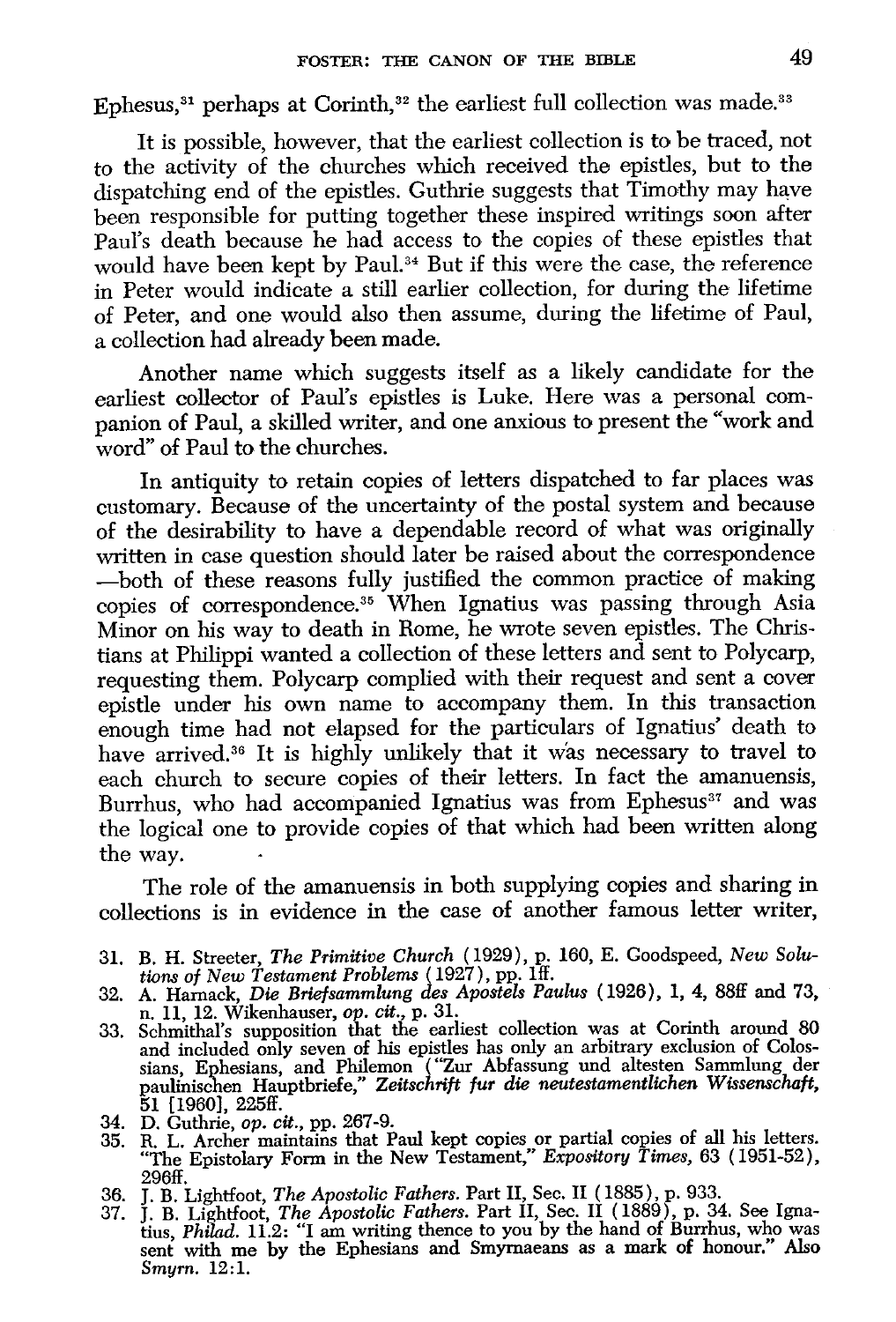Ephesus,<sup>31</sup> perhaps at Corinth,<sup>32</sup> the earliest full collection was made.<sup>33</sup>

It is possible, however, that the earliest collection is to be traced, not to the activity of the churches which received the epistles, but to the dispatching end of the epistles. Guthrie suggests that Timothy may have been responsible for putting together these inspired writings soon after Paul's death because he had access to the copies of these epistles that would have been kept by Paul.<sup>34</sup> But if this were the case, the reference in Peter would indicate a still earlier collection, for during the lifetime of Peter, and one would also then assume, during the lifetime of Paul, a collection had already been made.

Another name which suggests itself as a likely candidate for the earliest collector of Paul's epistles is Luke. Here was a personal companion of Paul, a skilled writer, and one anxious to present the "work and word" of Paul to the churches.

In antiquity to retain copies of letters dispatched to far places was customary. Because of the uncertainty of the postal system and because of the desirability to have a dependable record of what was originally written in case question should later be raised about the correspondence  $-$ both of these reasons fully justified the common practice of making copies of correspondence.<sup>35</sup> When Ignatius was passing through Asia Minor on his way to death in Rome, he wrote seven epistles. The Christians at Philippi wanted a collection of these letters and sent to Polycarp, requesting them. Polycarp complied with their request and sent a cover epistle under his own name to accompany them. In this transaction enough time had not elapsed for the particulars of Ignatius' death to have arrived.<sup>36</sup> It is highly unlikely that it was necessary to travel to each church to secure copies of their letters. In fact the amanuensis, Burrhus, who had accompanied Ignatius was from Ephesus<sup>37</sup> and was the logical one to provide copies of that which had been written along the way.

The role of the amanuensis in both supplying copies and sharing in collections is in evidence in the case of another famous letter writer,

- 31. B. H. Streeter, *The Primitive Church* (1929), p. 160, E. Goodspeed, *New Solutions of New Testament Problems* (1927), pp. 1ff.
- 32. A. Harnack, *Die Briefsammlung des Apostels Paulus* (1926), 1, 4, 88ff and 73, n. 11, 12. Wikenhauser, *op. cit.*, p. 31.
- 1. 11, 12. Wikenhauser, op. cit., p. 31.<br>33. Schmithal's supposition that the earliest collection was at Corinth around 80 and included only seven of his epistles has only an arbitrary exclusion of Colossians, Ephesians, and Philemon ("Zur Abfassung und altesten Sammlung der<br>paulinischen Hauptbriefe," Zeitschrift fur die neutestamentlichen Wissenschaft, 51 [1960], 225ff.
- 34. D. Guthrie, *op. cit.,* pp. 267-9.
- 35. R. L. Archer maintains that Paul kept copies or partial copies of all his letters. "The Epistolary Form in the New Testament," *Expository Times,* 63 (1951-52), 296ff.
- 
- 36. J. B. Lightfoot, *The Apostolic Fathers.* Part II, Sec. II (1885), p. 933. 37. J. B. Lightfoot, *The Apostolic Fathers.* Part II, Sec. II (1889), p. 34. See Ignatius, *Philad.* 11.2: "I am writing thence to you by the hand of Burrhus, who was sent with me by the Ephesians and Smymaeans as a mark of honour." Also *Smyrn.* 12: 1.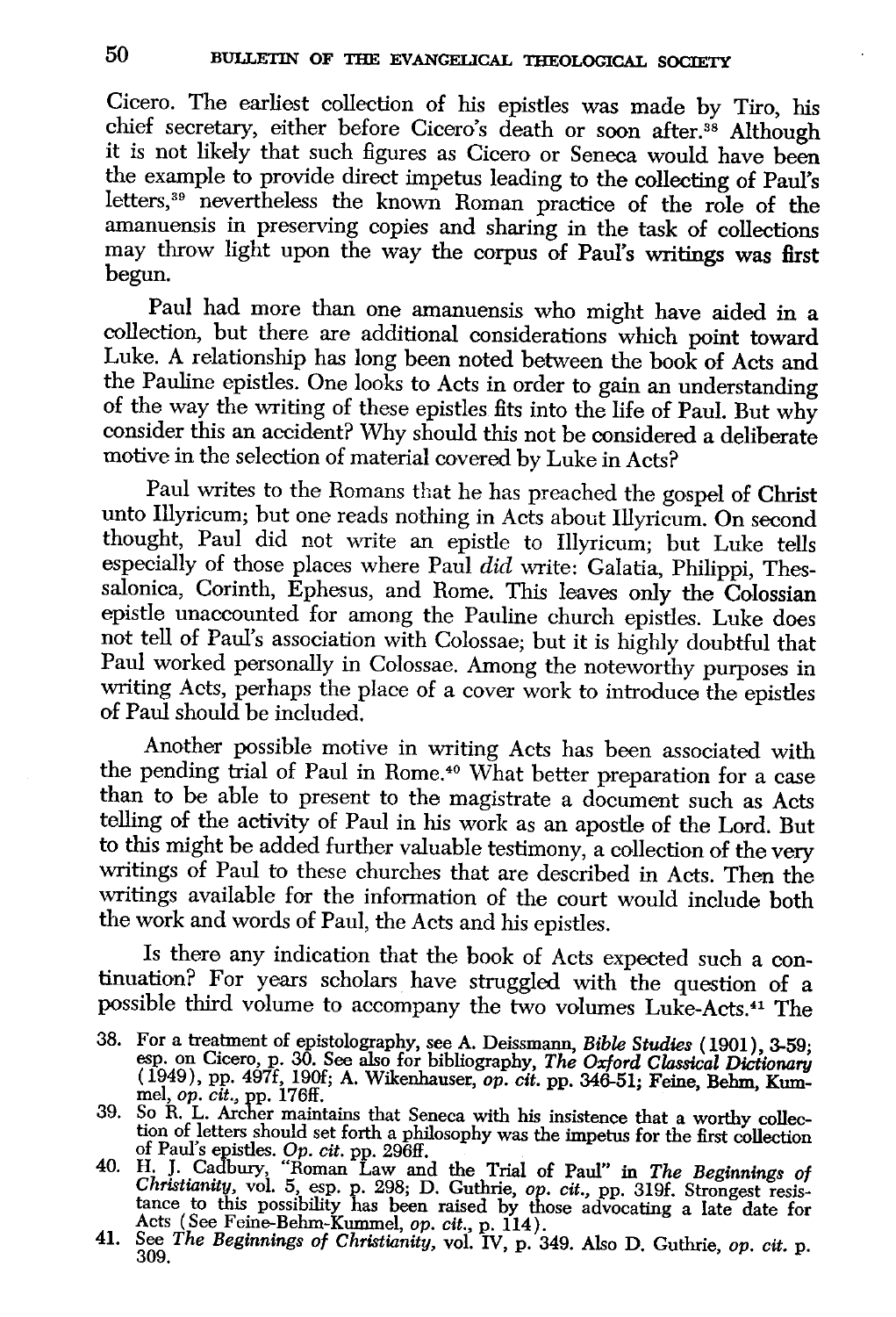Cicero. The earliest collection of his epistles was made by Tiro, his chief secretary, either before Cicero's death or soon after.<sup>38</sup> Although it is not likely that such figures as Cicero or Seneca would have been the example to provide direct impetus leading to the collecting of Paul's letters, 39 nevertheless the known Roman practice of the role of the amanuensis in preserving copies and sharing in the task of collections may throw light upon the way the corpus of Paul's writings was first begun.

Paul had more than one amanuensis who might have aided in a collection, but there are additional considerations which point toward Luke. A relationship has long been noted between the book of Acts and the Pauline epistles. One looks to Acts in order to gain an understanding of the way the writing of these epistles fits into the life of Paul. But why consider this an accident? Why should this not be considered a deliberate motive in the selection of material covered by Luke in Acts?

Paul writes to the Romans that he has preached the gospel of Christ unto Illyricum; but one reads nothing in Acts about Illyricum. On second thought, Paul did not write an epistle to Illyricum; but Luke tells especially of those places where Paul *did* write: Galatia, Philippi, Thessalonica, Corinth, Ephesus, and Rome. This leaves only the Colossian epistle unaccounted for among the Pauline church epistles. Luke does not tell of Paul's association with Colossae; but it is highly doubtful that Paul worked personally in Colossae. Among the noteworthy purposes in writing Acts, perhaps the place of a cover work to introduce the epistles of Paul should be included.

Another possible motive in writing Acts has been associated with the pending trial of Paul in Rome. 40 What better preparation for a case than to be able to present to the magistrate a document such as Acts telling of the activity of Paul in his work as an apostle of the Lord. But to this might be added further valuable testimony, a collection of the very writings of Paul to these churches that are described in Acts. Then the writings available for the information of the court would include both the work and words of Paul, the Acts and his epistles.

Is there any indication that the book of Acts expected such a continuation? For years scholars have struggled with the question of a possible third volume to accompany the two volumes Luke-Acts.41 The

*Christianity,* vol. 5, esp. p. 298; D. Guthrie, *op. cit.,* pp. 319f. Strongest resisance to this possibility has been raised by those advocating a late date for Acts (See Feine-Behm-Kummel, *op. cit.*, p. 114).

<sup>38.</sup> For a treatment of epistolography, see A. Deissmann, *Bible Studies* (1901), 3-59; esp. on Cicero, p. 30. See also for bibliography, *The Oxford Classical Dictionary*  ( 1949), pp. 497f, 190£; A. Wikenhauser, op. *cit.* pp. 346-51; Feine, Behm, Kumnel, *op. cit.,* pp. 176ff.

<sup>39.</sup> So R. L. Archer maintains that Seneca with his insistence that a worthy collection of letters should set forth a philosophy was the impetus for the first collection<br>of Paul's epistles. Op. *cit.* pp. 296ff.<br>40. H. J. Cadbury, "Roman Law and the Trial of Paul" in *The Beginnings of* 

<sup>41.</sup> See *The Beginnings of Christianity,* vol. IV, p. 349. Also D. Guthrie, *op. cit.* p. 309.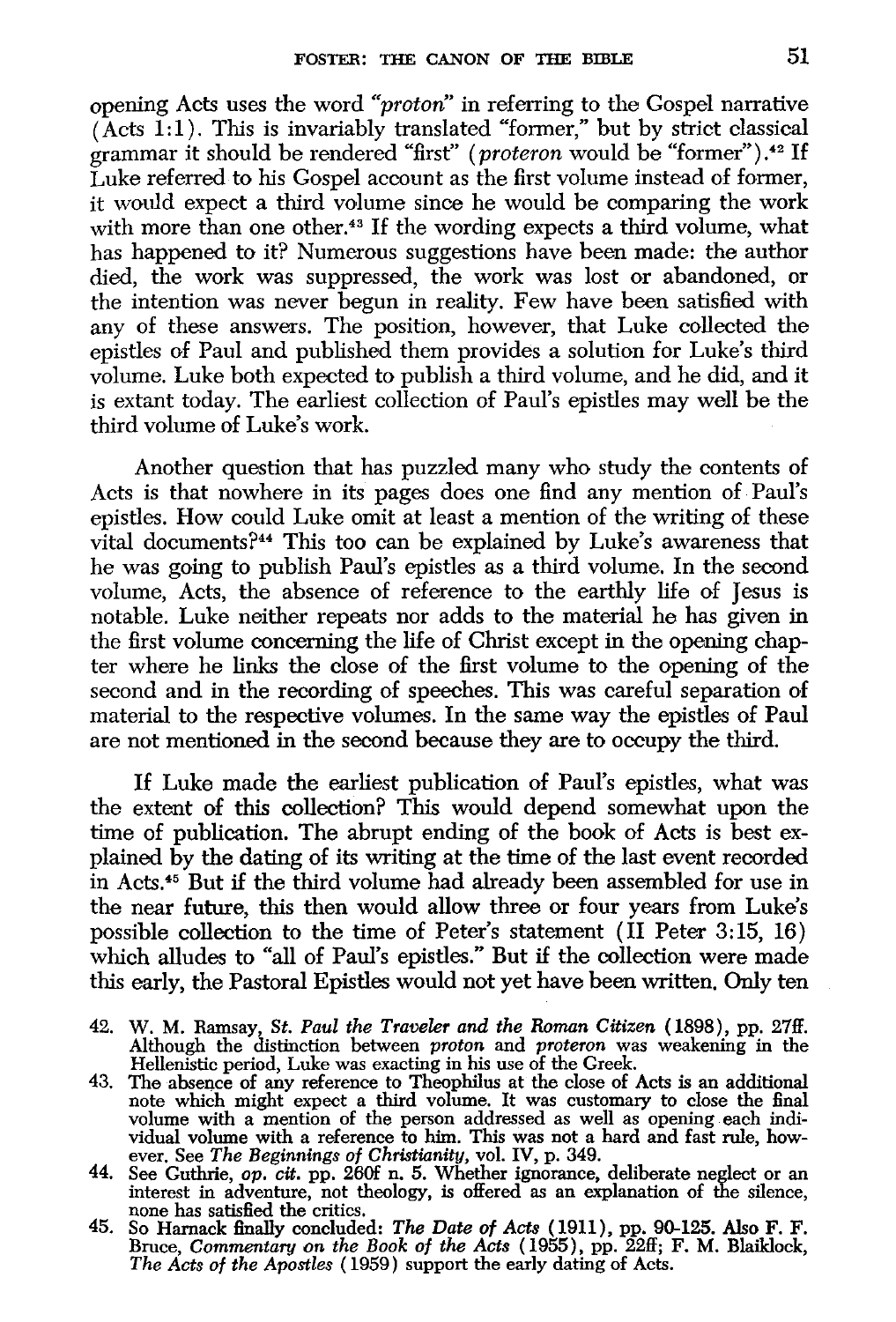opening Acts uses the word *"proton'* in referring to the Gospel narrative  $(Acts I:1)$ . This is invariably translated "former," but by strict classical grammar it should be rendered "first" *(proteron* would be "former").42 If Luke referred to his Gospel account as the first volume instead of former, it would expect a third volume since he would be comparing the work with more than one other.<sup>43</sup> If the wording expects a third volume, what has happened to it? Numerous suggestions have been made: the author died, the work was suppressed, the work was lost or abandoned, or the intention was never begun in reality. Few have been satisfied with any of these answers. The position, however, that Luke collected the epistles of Paul and published them provides a solution for Luke's third volume. Luke both expected to publish a third volume, and he did, and it is extant today. The earliest collection of Paul's epistles may well be the third volume of Luke's work.

Another question that has puzzled many who study the contents of Acts is that nowhere in its pages does one find any mention of Paul's epistles. How could Luke omit at least a mention of the writing of these vital documents?44 This too can be explained by Luke's awareness that he was going to publish Paul's epistles as a third volume. In the second volume, Acts, the absence of reference to the earthly life of Jesus is notable. Luke neither repeats nor adds to the material he has given in the first volume concerning the life of Christ except in the opening chapter where he links the close of the first volume to the opening of the second and in the recording of speeches. This was careful separation of material to the respective volumes. In the same way the epistles of Paul are not mentioned in the second because they are to occupy the third.

If Luke made the earliest publication of Paul's epistles, what was the extent of this collection? This would depend somewhat upon the time of publication. The abrupt ending of the book of Acts is best explained by the dating of its writing at the time of the last event recorded in Acts.45 But if the third volume had already been assembled for use in the near future, this then would allow three or four years from Luke's possible collection to the time of Peter's statement (II Peter 3:15, 16) which alludes to "all of Paul's epistles." But if the collection were made this early, the Pastoral Epistles would not yet have been written. Only ten

- 42. W. M. Ramsay, *St. Paul the Traveler and the Roman Citizen* ( 1898), pp. 27ff. Although the distinction between *proton* and *proteron* was weakening in the Hellenistic period, Luke was exacting in his use of the Greek.
- 43. The absence of any reference to Theophilus at the close of Acts is an additional note which might expect a third volume. It was customary to close the final volume with a mention of the person addressed as well as opening each individual volume with a reference to him. This was not a hard and fast rule, how- ever. See *The Beginnings of Christianity,* vol. IV, p. 349.
- 44. See Guthrie, *op. cit.* pp. 260f n. 5. Whether ignorance, deliberate neglect or an interest in adventure, not theology, is offered as an explanation of the silence, none has satisfied the critics.
- 45. So Harnack finally concluded: *The Date of Acts* (1911), pp. 90-125. Also F. F. Bruce, *Commentary on the Book of the Acts* ( 1955), pp. 22ff; F. M. Blaiklock, *The Acts of the Apostles* ( 1959) support the early dating of Acts.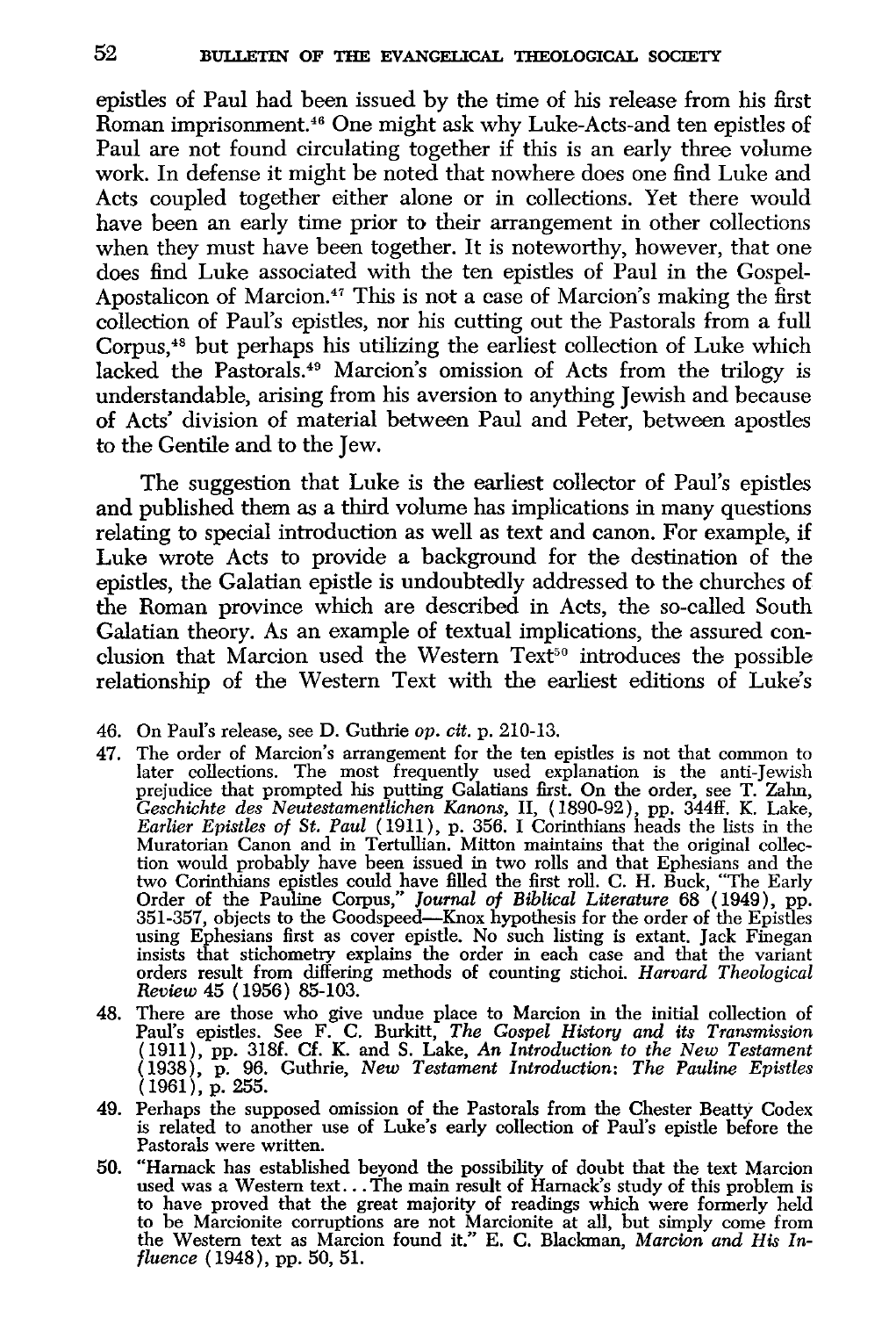epistles of Paul had been issued by the time of his release from his first Roman imprisonment.46 One might ask why Luke-Acts-and ten epistles of Paul are not found circulating together if this is an early three volume work. In defense it might be noted that nowhere does one find Luke and Acts coupled together either alone or in collections. Yet there would have been an early time prior to their arrangement in other collections when they must have been together. It is noteworthy, however, that one does find Luke associated with the ten epistles of Paul in the Gospel-Apostalicon of Marcion.<sup>47</sup> This is not a case of Marcion's making the first collection of Paul's epistles, nor his cutting out the Pastorals from a full Corpus,48 but perhaps his utilizing the earliest collection of Luke which lacked the Pastorals.49 Marcion's omission of Acts from the trilogy is understandable, arising from his aversion to anything Jewish and because of Acts' division of material between Paul and Peter, between apostles to the Gentile and to the Jew.

The suggestion that Luke is the earliest collector of Paul's epistles and published them as a third volume has implications in many questions relating to special introduction as well as text and canon. For example, if Luke wrote Acts to provide a background for the destination of the epistles, the Galatian epistle is undoubtedly addressed to the churches of the Roman province which are described in Acts, the so-called South Galatian theory. As an example of textual implications, the assured conclusion that Marcion used the Western Text<sup>50</sup> introduces the possible relationship of the Western Text with the earliest editions of Luke's

- 47. The order of Marcion's arrangement for the ten epistles is not that common to later collections. The most frequently used explanation is the anti-Jewish prejudice that prompted his putting Galatians first. On the order, see T. Zahn, *Geschichte des Neutestamentlichen Kanons,* II, (1890-92), pp. 344ff. K. Lake, *Earlier Epistles of St. Paul* ( 1911), p. 356. I Corinthians heads the lists in the Muratorian Canon and in Tertullian. Mitton maintains that the original collection would probably have been issued in two rolls and that Ephesians and the two Corinthians epistles could have filled the first roll. C. H. Buck, "The Early Order of the Pauline Corpus," *Journal of Biblical Literature* 68 ( 1949), pp. 351-357, objects to the Goodspeed-Knox hypothesis for the order of the Epistles using Ephesians first as cover epistle. No such listing is extant. Jack Finegan insists that stichometry explains the order in each case and that the variant orders result from differing methods of counting stichoi. *Harvard Theological Review* 45 ( 1956) 85-103.
- 48. There are those who give undue place to Marcion in the initial collection of Paul's epistles. See F. C. Burkitt, *The Gospel History and its Transmission*  (1911), pp. 318f. Cf. K. and S. Lake, *An Introduction to the New Testament*  (1938), p. 96. Guthrie, *New Testament Introduction: The Pauline Epistles*  (1961), p. 255.
- 49. Perhaps the supposed omission of the Pastorals from the Chester Beatty Codex is related to another use of Luke's early collection of Paul's epistle before the Pastorals were written.
- 50. "Harnack has established beyond the possibility of doubt that the text Marcion used was a Western text... The main result of Harnack's study of this problem is to have proved that the great majority of readings which were formerly held to be Marcionite corruptions are not Marcionite at all, but simply come from the Western text as Marcion found it." E. C. Blackman, *Marcion and His Influence* (1948), pp. 50, 51.

<sup>46.</sup> On Paul's release, see D. Guthrie *op. cit.* p. 210-13.